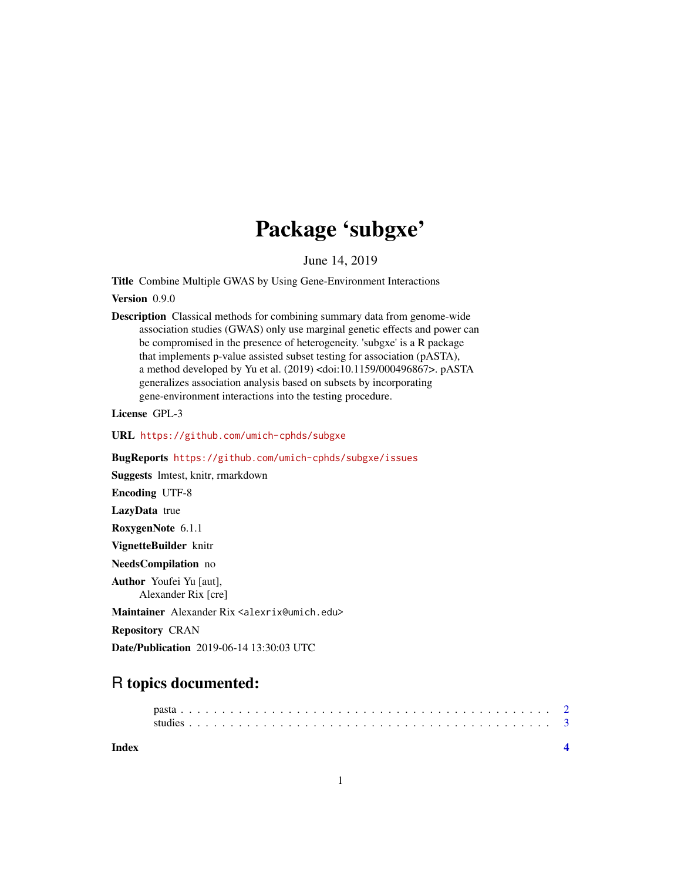## Package 'subgxe'

June 14, 2019

Title Combine Multiple GWAS by Using Gene-Environment Interactions

Version 0.9.0

Description Classical methods for combining summary data from genome-wide association studies (GWAS) only use marginal genetic effects and power can be compromised in the presence of heterogeneity. 'subgxe' is a R package that implements p-value assisted subset testing for association (pASTA), a method developed by Yu et al. (2019) <doi:10.1159/000496867>. pASTA generalizes association analysis based on subsets by incorporating gene-environment interactions into the testing procedure.

License GPL-3

URL <https://github.com/umich-cphds/subgxe>

BugReports <https://github.com/umich-cphds/subgxe/issues>

Suggests lmtest, knitr, rmarkdown

Encoding UTF-8

LazyData true

RoxygenNote 6.1.1

VignetteBuilder knitr NeedsCompilation no

Author Youfei Yu [aut],

Alexander Rix [cre]

Maintainer Alexander Rix <alexrix@umich.edu>

Repository CRAN

Date/Publication 2019-06-14 13:30:03 UTC

### R topics documented:

**Index** [4](#page-3-0)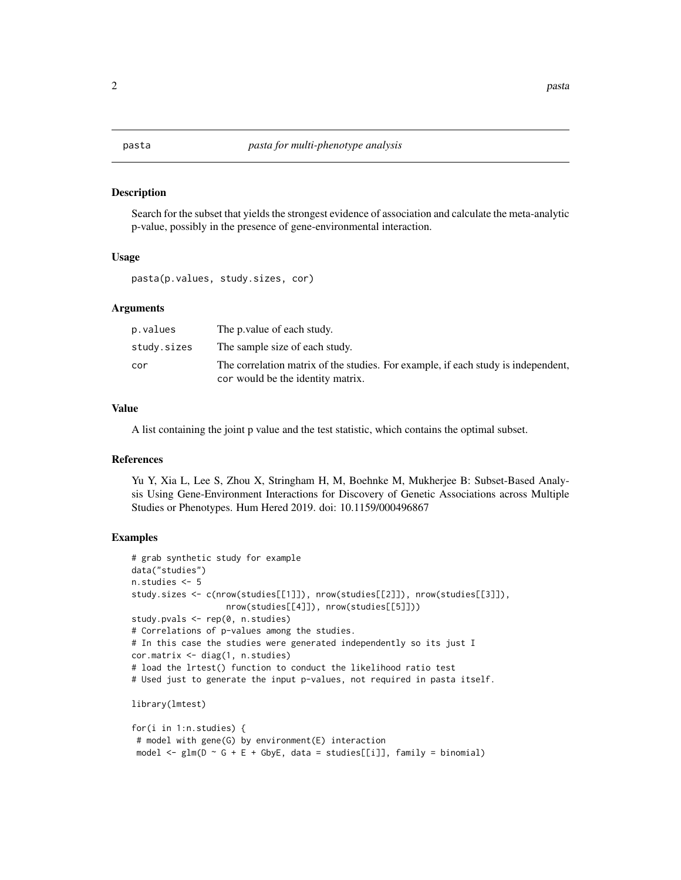<span id="page-1-0"></span>

#### Description

Search for the subset that yields the strongest evidence of association and calculate the meta-analytic p-value, possibly in the presence of gene-environmental interaction.

#### Usage

pasta(p.values, study.sizes, cor)

#### Arguments

| p.values    | The p value of each study.                                                                                             |
|-------------|------------------------------------------------------------------------------------------------------------------------|
| study.sizes | The sample size of each study.                                                                                         |
| cor         | The correlation matrix of the studies. For example, if each study is independent,<br>cor would be the identity matrix. |

#### Value

A list containing the joint p value and the test statistic, which contains the optimal subset.

#### References

Yu Y, Xia L, Lee S, Zhou X, Stringham H, M, Boehnke M, Mukherjee B: Subset-Based Analysis Using Gene-Environment Interactions for Discovery of Genetic Associations across Multiple Studies or Phenotypes. Hum Hered 2019. doi: 10.1159/000496867

#### Examples

```
# grab synthetic study for example
data("studies")
n.studies <- 5
study.sizes <- c(nrow(studies[[1]]), nrow(studies[[2]]), nrow(studies[[3]]),
                   nrow(studies[[4]]), nrow(studies[[5]]))
study.pvals <- rep(0, n.studies)
# Correlations of p-values among the studies.
# In this case the studies were generated independently so its just I
cor.matrix <- diag(1, n.studies)
# load the lrtest() function to conduct the likelihood ratio test
# Used just to generate the input p-values, not required in pasta itself.
library(lmtest)
for(i in 1:n.studies) {
# model with gene(G) by environment(E) interaction
model \leq glm(D \leq G + E + GbyE, data = studies[[i]], family = binomial)
```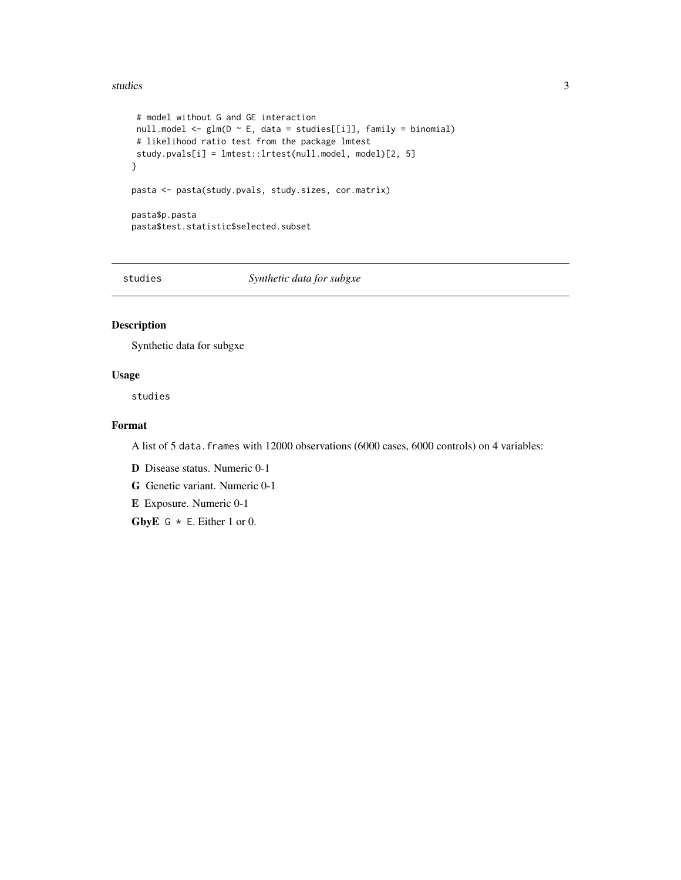#### <span id="page-2-0"></span>studies 3

```
# model without G and GE interaction
 null.model <- glm(D ~ E, data = studies[[i]], family = binomial)
 # likelihood ratio test from the package lmtest
study.pvals[i] = lmtest::lrtest(null.model, model)[2, 5]
}
pasta <- pasta(study.pvals, study.sizes, cor.matrix)
pasta$p.pasta
pasta$test.statistic$selected.subset
```
studies *Synthetic data for subgxe*

#### Description

Synthetic data for subgxe

#### Usage

studies

#### Format

A list of 5 data.frames with 12000 observations (6000 cases, 6000 controls) on 4 variables:

D Disease status. Numeric 0-1

G Genetic variant. Numeric 0-1

E Exposure. Numeric 0-1

GbyE  $G * E$ . Either 1 or 0.